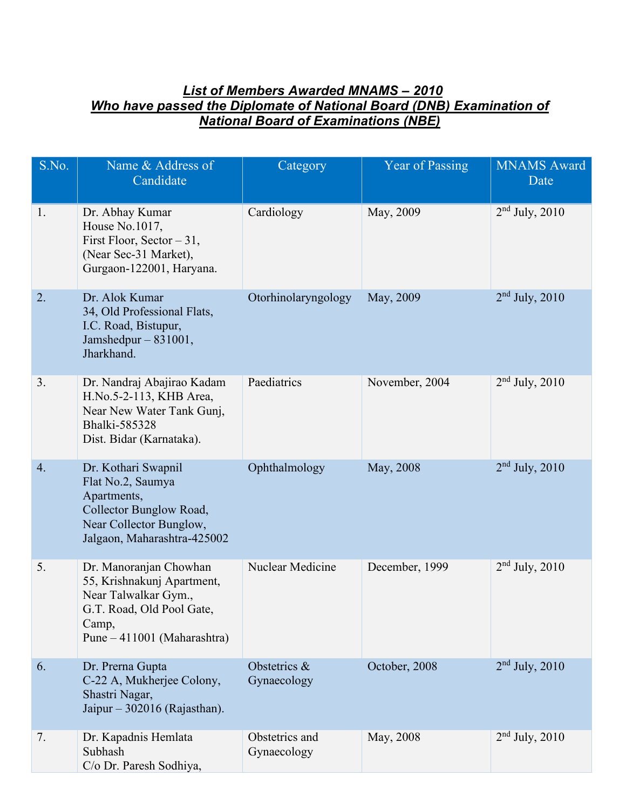## *List of Members Awarded MNAMS – 2010 Who have passed the Diplomate of National Board (DNB) Examination of National Board of Examinations (NBE)*

| S.No. | Name & Address of<br>Candidate                                                                                                                    | Category                      | Year of Passing | <b>MNAMS</b> Award<br>Date |
|-------|---------------------------------------------------------------------------------------------------------------------------------------------------|-------------------------------|-----------------|----------------------------|
| 1.    | Dr. Abhay Kumar<br>House No.1017,<br>First Floor, Sector $-31$ ,<br>(Near Sec-31 Market),<br>Gurgaon-122001, Haryana.                             | Cardiology                    | May, 2009       | $2nd$ July, 2010           |
| 2.    | Dr. Alok Kumar<br>34, Old Professional Flats,<br>I.C. Road, Bistupur,<br>Jamshedpur $-831001$ ,<br>Jharkhand.                                     | Otorhinolaryngology           | May, 2009       | $2nd$ July, 2010           |
| 3.    | Dr. Nandraj Abajirao Kadam<br>H.No.5-2-113, KHB Area,<br>Near New Water Tank Gunj,<br>Bhalki-585328<br>Dist. Bidar (Karnataka).                   | Paediatrics                   | November, 2004  | $2nd$ July, 2010           |
| 4.    | Dr. Kothari Swapnil<br>Flat No.2, Saumya<br>Apartments,<br>Collector Bunglow Road,<br>Near Collector Bunglow,<br>Jalgaon, Maharashtra-425002      | Ophthalmology                 | May, 2008       | $2nd$ July, 2010           |
| 5.    | Dr. Manoranjan Chowhan<br>55, Krishnakunj Apartment,<br>Near Talwalkar Gym.,<br>G.T. Road, Old Pool Gate,<br>Camp,<br>Pune – 411001 (Maharashtra) | Nuclear Medicine              | December, 1999  | $2nd$ July, 2010           |
| 6.    | Dr. Prerna Gupta<br>C-22 A, Mukherjee Colony,<br>Shastri Nagar,<br>Jaipur $-302016$ (Rajasthan).                                                  | Obstetrics &<br>Gynaecology   | October, 2008   | $2nd$ July, 2010           |
| 7.    | Dr. Kapadnis Hemlata<br>Subhash<br>C/o Dr. Paresh Sodhiya,                                                                                        | Obstetrics and<br>Gynaecology | May, 2008       | $2nd$ July, $2010$         |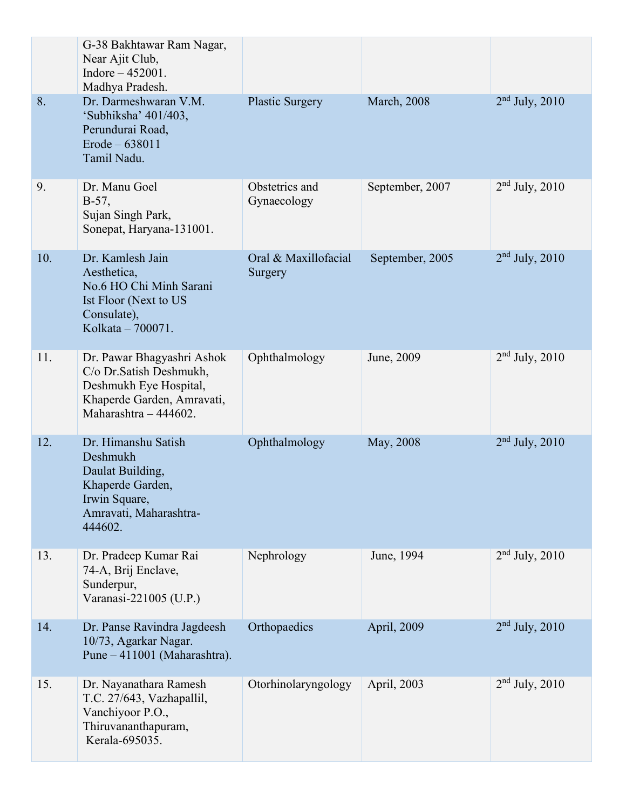|     | G-38 Bakhtawar Ram Nagar,<br>Near Ajit Club,<br>Indore $-452001$ .<br>Madhya Pradesh.                                                   |                                 |                     |                    |
|-----|-----------------------------------------------------------------------------------------------------------------------------------------|---------------------------------|---------------------|--------------------|
| 8.  | Dr. Darmeshwaran V.M.<br>'Subhiksha' 401/403,<br>Perundurai Road,<br>$Erode - 638011$<br>Tamil Nadu.                                    | <b>Plastic Surgery</b>          | <b>March</b> , 2008 | $2nd$ July, 2010   |
| 9.  | Dr. Manu Goel<br>$B-57,$<br>Sujan Singh Park,<br>Sonepat, Haryana-131001.                                                               | Obstetrics and<br>Gynaecology   | September, 2007     | $2nd$ July, 2010   |
| 10. | Dr. Kamlesh Jain<br>Aesthetica,<br>No.6 HO Chi Minh Sarani<br>Ist Floor (Next to US<br>Consulate),<br>Kolkata - 700071.                 | Oral & Maxillofacial<br>Surgery | September, 2005     | $2nd$ July, $2010$ |
| 11. | Dr. Pawar Bhagyashri Ashok<br>C/o Dr. Satish Deshmukh,<br>Deshmukh Eye Hospital,<br>Khaperde Garden, Amravati,<br>Maharashtra - 444602. | Ophthalmology                   | June, 2009          | $2nd$ July, 2010   |
| 12. | Dr. Himanshu Satish<br>Deshmukh<br>Daulat Building,<br>Khaperde Garden,<br>Irwin Square,<br>Amravati, Maharashtra-<br>444602.           | Ophthalmology                   | May, 2008           | $2nd$ July, 2010   |
| 13. | Dr. Pradeep Kumar Rai<br>74-A, Brij Enclave,<br>Sunderpur,<br>Varanasi-221005 (U.P.)                                                    | Nephrology                      | June, 1994          | $2nd$ July, 2010   |
| 14. | Dr. Panse Ravindra Jagdeesh<br>10/73, Agarkar Nagar.<br>Pune – 411001 (Maharashtra).                                                    | Orthopaedics                    | April, 2009         | $2nd$ July, 2010   |
| 15. | Dr. Nayanathara Ramesh<br>T.C. 27/643, Vazhapallil,<br>Vanchiyoor P.O.,<br>Thiruvananthapuram,<br>Kerala-695035.                        | Otorhinolaryngology             | April, 2003         | $2nd$ July, 2010   |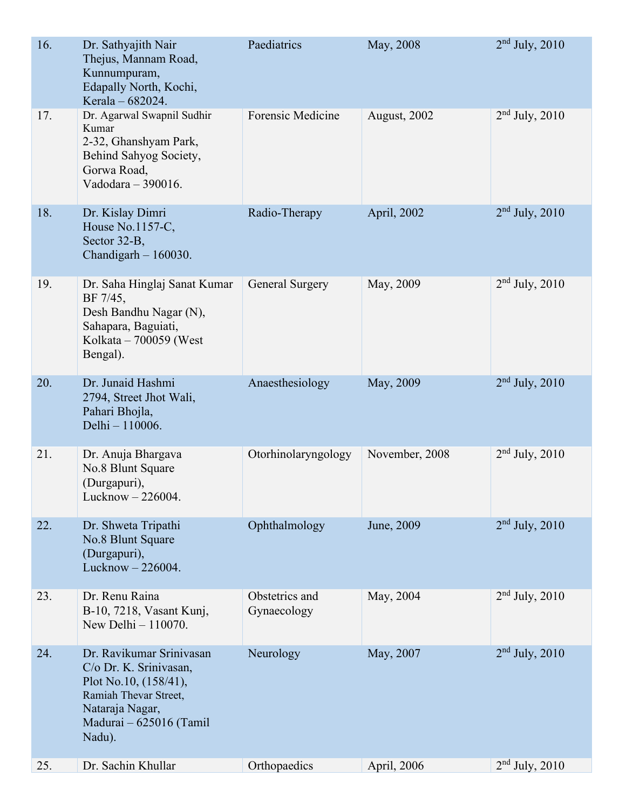| 16. | Dr. Sathyajith Nair<br>Thejus, Mannam Road,<br>Kunnumpuram,<br>Edapally North, Kochi,<br>Kerala - 682024.                                                       | Paediatrics                   | May, 2008      | $2nd$ July, 2010 |
|-----|-----------------------------------------------------------------------------------------------------------------------------------------------------------------|-------------------------------|----------------|------------------|
| 17. | Dr. Agarwal Swapnil Sudhir<br>Kumar<br>2-32, Ghanshyam Park,<br>Behind Sahyog Society,<br>Gorwa Road,<br>Vadodara - 390016.                                     | <b>Forensic Medicine</b>      | August, 2002   | $2nd$ July, 2010 |
| 18. | Dr. Kislay Dimri<br>House No.1157-C,<br>Sector 32-B,<br>Chandigarh $-160030$ .                                                                                  | Radio-Therapy                 | April, 2002    | $2nd$ July, 2010 |
| 19. | Dr. Saha Hinglaj Sanat Kumar<br>BF 7/45,<br>Desh Bandhu Nagar (N),<br>Sahapara, Baguiati,<br>Kolkata – 700059 (West<br>Bengal).                                 | General Surgery               | May, 2009      | $2nd$ July, 2010 |
| 20. | Dr. Junaid Hashmi<br>2794, Street Jhot Wali,<br>Pahari Bhojla,<br>Delhi - 110006.                                                                               | Anaesthesiology               | May, 2009      | $2nd$ July, 2010 |
| 21. | Dr. Anuja Bhargava<br>No.8 Blunt Square<br>(Durgapuri),<br>Lucknow - 226004.                                                                                    | Otorhinolaryngology           | November, 2008 | $2nd$ July, 2010 |
| 22. | Dr. Shweta Tripathi<br>No.8 Blunt Square<br>(Durgapuri),<br>Lucknow $-226004$ .                                                                                 | Ophthalmology                 | June, 2009     | $2nd$ July, 2010 |
| 23. | Dr. Renu Raina<br>B-10, 7218, Vasant Kunj,<br>New Delhi - 110070.                                                                                               | Obstetrics and<br>Gynaecology | May, 2004      | $2nd$ July, 2010 |
| 24. | Dr. Ravikumar Srinivasan<br>C/o Dr. K. Srinivasan,<br>Plot No.10, $(158/41)$ ,<br>Ramiah Thevar Street,<br>Nataraja Nagar,<br>Madurai - 625016 (Tamil<br>Nadu). | Neurology                     | May, 2007      | $2nd$ July, 2010 |
| 25. | Dr. Sachin Khullar                                                                                                                                              | Orthopaedics                  | April, 2006    | $2nd$ July, 2010 |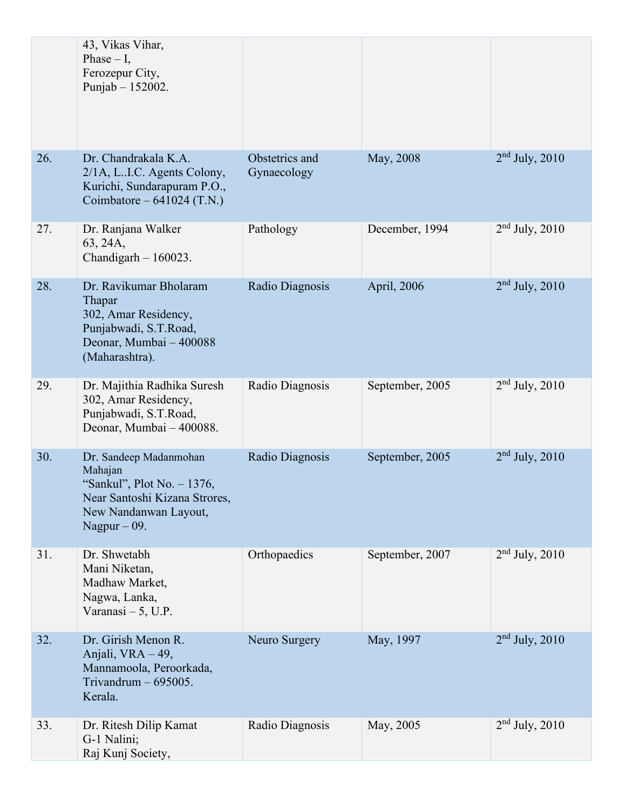|     | 43, Vikas Vihar,<br>Phase $- I$ ,<br>Ferozepur City,<br>Punjab - 152002.                                                                    |                               |                 |                    |
|-----|---------------------------------------------------------------------------------------------------------------------------------------------|-------------------------------|-----------------|--------------------|
| 26. | Dr. Chandrakala K.A.<br>2/1A, L.I.C. Agents Colony,<br>Kurichi, Sundarapuram P.O.,<br>Coimbatore – $641024$ (T.N.)                          | Obstetrics and<br>Gynaecology | May, 2008       | $2nd$ July, 2010   |
| 27. | Dr. Ranjana Walker<br>63, 24A,<br>Chandigarh $-160023$ .                                                                                    | Pathology                     | December, 1994  | $2nd$ July, 2010   |
| 28. | Dr. Ravikumar Bholaram<br>Thapar<br>302, Amar Residency,<br>Punjabwadi, S.T.Road,<br>Deonar, Mumbai - 400088<br>(Maharashtra).              | Radio Diagnosis               | April, 2006     | $2nd$ July, 2010   |
| 29. | Dr. Majithia Radhika Suresh<br>302, Amar Residency,<br>Punjabwadi, S.T.Road,<br>Deonar, Mumbai - 400088.                                    | Radio Diagnosis               | September, 2005 | $2nd$ July, 2010   |
| 30. | Dr. Sandeep Madanmohan<br>Mahajan<br>"Sankul", Plot No. - 1376,<br>Near Santoshi Kizana Strores,<br>New Nandanwan Layout,<br>Nagpur $-09$ . | Radio Diagnosis               | September, 2005 | $2nd$ July, 2010   |
| 31. | Dr. Shwetabh<br>Mani Niketan,<br>Madhaw Market,<br>Nagwa, Lanka,<br>Varanasi $-5$ , U.P.                                                    | Orthopaedics                  | September, 2007 | $2nd$ July, 2010   |
| 32. | Dr. Girish Menon R.<br>Anjali, VRA - 49,<br>Mannamoola, Peroorkada,<br>Trivandrum $-695005$ .<br>Kerala.                                    | Neuro Surgery                 | May, 1997       | $2nd$ July, $2010$ |
| 33. | Dr. Ritesh Dilip Kamat<br>G-1 Nalini;<br>Raj Kunj Society,                                                                                  | Radio Diagnosis               | May, 2005       | $2nd$ July, 2010   |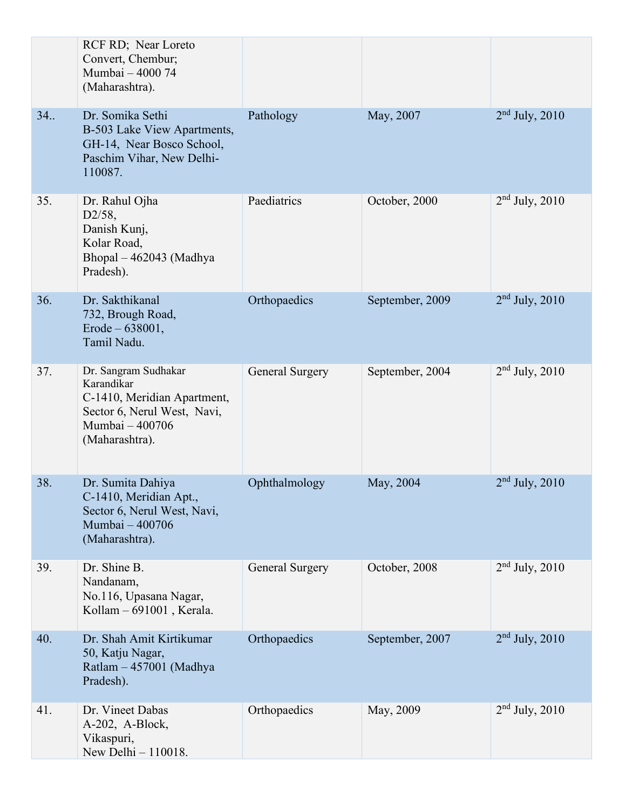|     | RCF RD; Near Loreto<br>Convert, Chembur;<br>Mumbai - 4000 74<br>(Maharashtra).                                                        |                 |                 |                  |
|-----|---------------------------------------------------------------------------------------------------------------------------------------|-----------------|-----------------|------------------|
| 34. | Dr. Somika Sethi<br>B-503 Lake View Apartments,<br>GH-14, Near Bosco School,<br>Paschim Vihar, New Delhi-<br>110087.                  | Pathology       | May, 2007       | $2nd$ July, 2010 |
| 35. | Dr. Rahul Ojha<br>D2/58,<br>Danish Kunj,<br>Kolar Road,<br>Bhopal - 462043 (Madhya<br>Pradesh).                                       | Paediatrics     | October, 2000   | $2nd$ July, 2010 |
| 36. | Dr. Sakthikanal<br>732, Brough Road,<br>$Erode - 638001,$<br>Tamil Nadu.                                                              | Orthopaedics    | September, 2009 | $2nd$ July, 2010 |
| 37. | Dr. Sangram Sudhakar<br>Karandikar<br>C-1410, Meridian Apartment,<br>Sector 6, Nerul West, Navi,<br>Mumbai - 400706<br>(Maharashtra). | General Surgery | September, 2004 | $2nd$ July, 2010 |
| 38. | Dr. Sumita Dahiya<br>C-1410, Meridian Apt.,<br>Sector 6, Nerul West, Navi,<br>Mumbai - 400706<br>(Maharashtra).                       | Ophthalmology   | May, 2004       | $2nd$ July, 2010 |
| 39. | Dr. Shine B.<br>Nandanam,<br>No.116, Upasana Nagar,<br>Kollam - 691001, Kerala.                                                       | General Surgery | October, 2008   | $2nd$ July, 2010 |
| 40. | Dr. Shah Amit Kirtikumar<br>50, Katju Nagar,<br>Ratlam - 457001 (Madhya<br>Pradesh).                                                  | Orthopaedics    | September, 2007 | $2nd$ July, 2010 |
| 41. | Dr. Vineet Dabas<br>A-202, A-Block,<br>Vikaspuri,<br>New Delhi - 110018.                                                              | Orthopaedics    | May, 2009       | $2nd$ July, 2010 |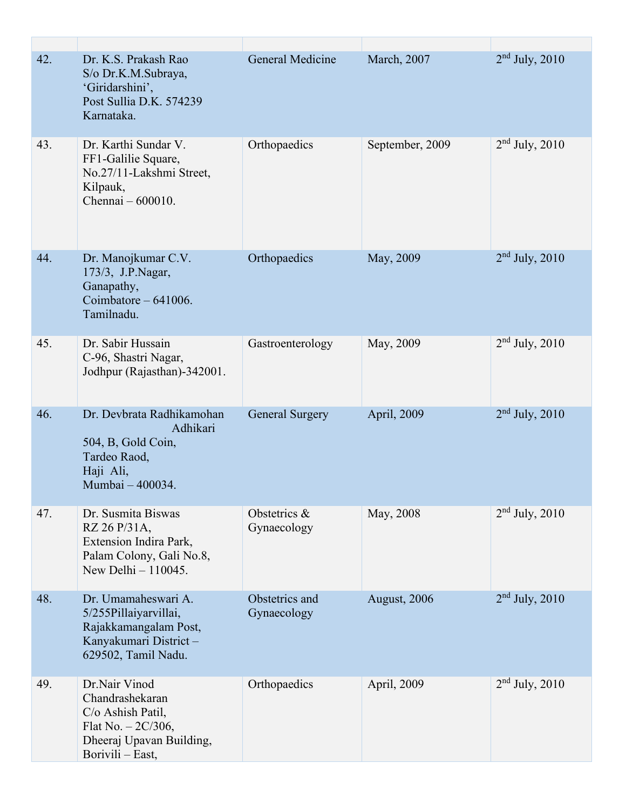| 42. | Dr. K.S. Prakash Rao<br>S/o Dr.K.M.Subraya,<br>'Giridarshini',<br>Post Sullia D.K. 574239<br>Karnataka.                       | <b>General Medicine</b>       | March, 2007     | $2nd$ July, 2010 |
|-----|-------------------------------------------------------------------------------------------------------------------------------|-------------------------------|-----------------|------------------|
| 43. | Dr. Karthi Sundar V.<br>FF1-Galilie Square,<br>No.27/11-Lakshmi Street,<br>Kilpauk,<br>Chennai $-600010$ .                    | Orthopaedics                  | September, 2009 | $2nd$ July, 2010 |
| 44. | Dr. Manojkumar C.V.<br>173/3, J.P.Nagar,<br>Ganapathy,<br>Coimbatore $-641006$ .<br>Tamilnadu.                                | Orthopaedics                  | May, 2009       | $2nd$ July, 2010 |
| 45. | Dr. Sabir Hussain<br>C-96, Shastri Nagar,<br>Jodhpur (Rajasthan)-342001.                                                      | Gastroenterology              | May, 2009       | $2nd$ July, 2010 |
| 46. | Dr. Devbrata Radhikamohan<br>Adhikari<br>504, B, Gold Coin,<br>Tardeo Raod,<br>Haji Ali,<br>Mumbai - 400034.                  | <b>General Surgery</b>        | April, 2009     | $2nd$ July, 2010 |
| 47. | Dr. Susmita Biswas<br>RZ 26 P/31A,<br>Extension Indira Park,<br>Palam Colony, Gali No.8,<br>New Delhi - 110045.               | Obstetrics &<br>Gynaecology   | May, 2008       | $2nd$ July, 2010 |
| 48. | Dr. Umamaheswari A.<br>5/255Pillaiyarvillai,<br>Rajakkamangalam Post,<br>Kanyakumari District-<br>629502, Tamil Nadu.         | Obstetrics and<br>Gynaecology | August, 2006    | $2nd$ July, 2010 |
| 49. | Dr.Nair Vinod<br>Chandrashekaran<br>C/o Ashish Patil,<br>Flat No. $-2C/306$ ,<br>Dheeraj Upavan Building,<br>Borivili - East, | Orthopaedics                  | April, 2009     | $2nd$ July, 2010 |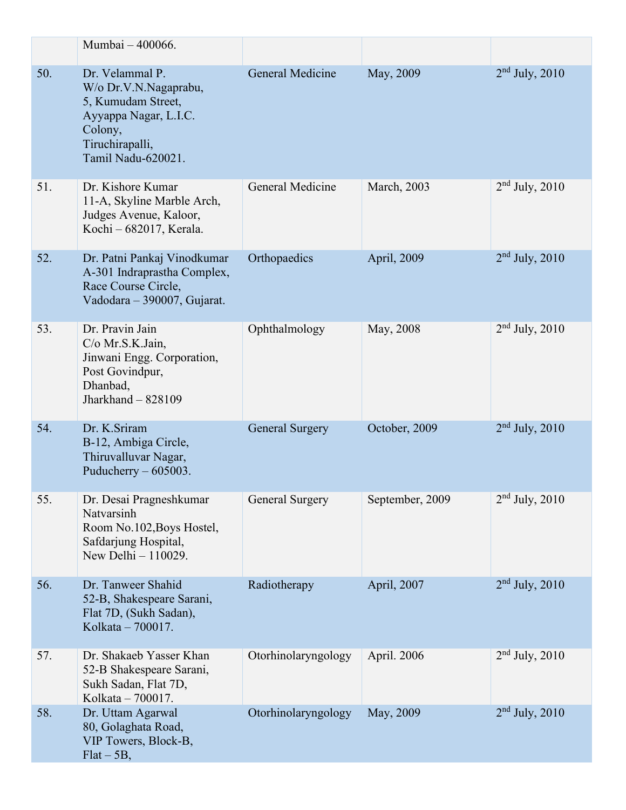|     | Mumbai - 400066.                                                                                                                            |                        |                 |                           |
|-----|---------------------------------------------------------------------------------------------------------------------------------------------|------------------------|-----------------|---------------------------|
| 50. | Dr. Velammal P.<br>W/o Dr.V.N.Nagaprabu,<br>5, Kumudam Street,<br>Ayyappa Nagar, L.I.C.<br>Colony,<br>Tiruchirapalli,<br>Tamil Nadu-620021. | General Medicine       | May, 2009       | $2nd$ July, 2010          |
| 51. | Dr. Kishore Kumar<br>11-A, Skyline Marble Arch,<br>Judges Avenue, Kaloor,<br>Kochi - 682017, Kerala.                                        | General Medicine       | March, 2003     | $2nd$ July, 2010          |
| 52. | Dr. Patni Pankaj Vinodkumar<br>A-301 Indraprastha Complex,<br>Race Course Circle,<br>Vadodara - 390007, Gujarat.                            | Orthopaedics           | April, 2009     | $2nd$ July, 2010          |
| 53. | Dr. Pravin Jain<br>C/o Mr.S.K.Jain,<br>Jinwani Engg. Corporation,<br>Post Govindpur,<br>Dhanbad,<br>Jharkhand $-828109$                     | Ophthalmology          | May, 2008       | $2nd$ July, 2010          |
| 54. | Dr. K.Sriram<br>B-12, Ambiga Circle,<br>Thiruvalluvar Nagar,<br>Puducherry $-605003$ .                                                      | <b>General Surgery</b> | October, 2009   | $2nd$ July, 2010          |
| 55. | Dr. Desai Pragneshkumar<br>Natvarsinh<br>Room No.102, Boys Hostel,<br>Safdarjung Hospital,<br>New Delhi - 110029.                           | General Surgery        | September, 2009 | $\sqrt{2^{nd}$ July, 2010 |
| 56. | Dr. Tanweer Shahid<br>52-B, Shakespeare Sarani,<br>Flat 7D, (Sukh Sadan),<br>Kolkata - 700017.                                              | Radiotherapy           | April, 2007     | $2nd$ July, 2010          |
| 57. | Dr. Shakaeb Yasser Khan<br>52-B Shakespeare Sarani,<br>Sukh Sadan, Flat 7D,<br>Kolkata - 700017.                                            | Otorhinolaryngology    | April. 2006     | $2nd$ July, 2010          |
| 58. | Dr. Uttam Agarwal<br>80, Golaghata Road,<br>VIP Towers, Block-B,<br>$Flat - 5B$ ,                                                           | Otorhinolaryngology    | May, 2009       | $2nd$ July, 2010          |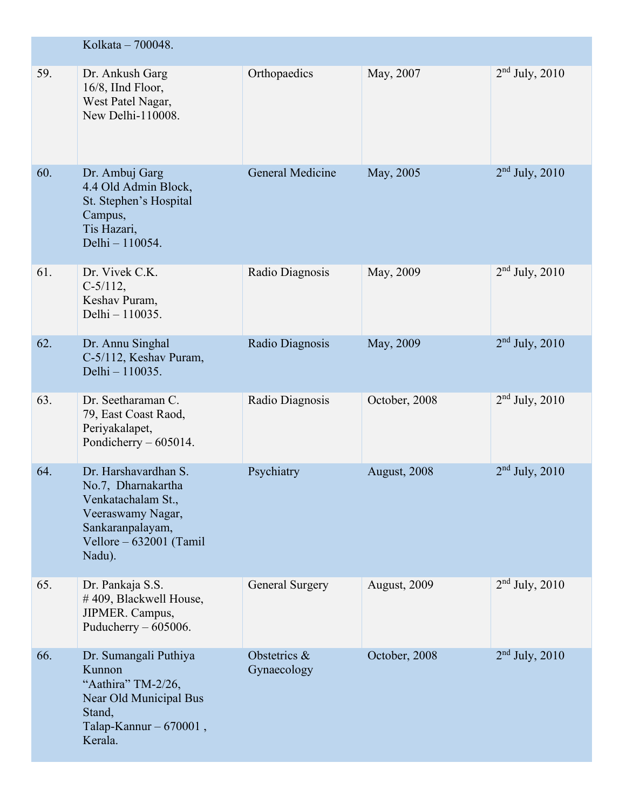|     | Kolkata - 700048.                                                                                                                              |                             |               |                  |
|-----|------------------------------------------------------------------------------------------------------------------------------------------------|-----------------------------|---------------|------------------|
| 59. | Dr. Ankush Garg<br>$16/8$ , IInd Floor,<br>West Patel Nagar,<br>New Delhi-110008.                                                              | Orthopaedics                | May, 2007     | $2nd$ July, 2010 |
| 60. | Dr. Ambuj Garg<br>4.4 Old Admin Block,<br>St. Stephen's Hospital<br>Campus,<br>Tis Hazari,<br>Delhi - 110054.                                  | <b>General Medicine</b>     | May, 2005     | $2nd$ July, 2010 |
| 61. | Dr. Vivek C.K.<br>$C-5/112$ ,<br>Keshav Puram,<br>Delhi - 110035.                                                                              | Radio Diagnosis             | May, 2009     | $2nd$ July, 2010 |
| 62. | Dr. Annu Singhal<br>C-5/112, Keshav Puram,<br>Delhi - 110035.                                                                                  | Radio Diagnosis             | May, 2009     | $2nd$ July, 2010 |
| 63. | Dr. Seetharaman C.<br>79, East Coast Raod,<br>Periyakalapet,<br>Pondicherry - 605014.                                                          | Radio Diagnosis             | October, 2008 | $2nd$ July, 2010 |
| 64. | Dr. Harshavardhan S.<br>No.7, Dharnakartha<br>Venkatachalam St.,<br>Veeraswamy Nagar,<br>Sankaranpalayam,<br>Vellore - 632001 (Tamil<br>Nadu). | Psychiatry                  | August, 2008  | $2nd$ July, 2010 |
| 65. | Dr. Pankaja S.S.<br>#409, Blackwell House,<br>JIPMER. Campus,<br>Puducherry $-605006$ .                                                        | <b>General Surgery</b>      | August, 2009  | $2nd$ July, 2010 |
| 66. | Dr. Sumangali Puthiya<br>Kunnon<br>"Aathira" TM-2/26,<br>Near Old Municipal Bus<br>Stand,<br>Talap-Kannur $-670001$ ,<br>Kerala.               | Obstetrics &<br>Gynaecology | October, 2008 | $2nd$ July, 2010 |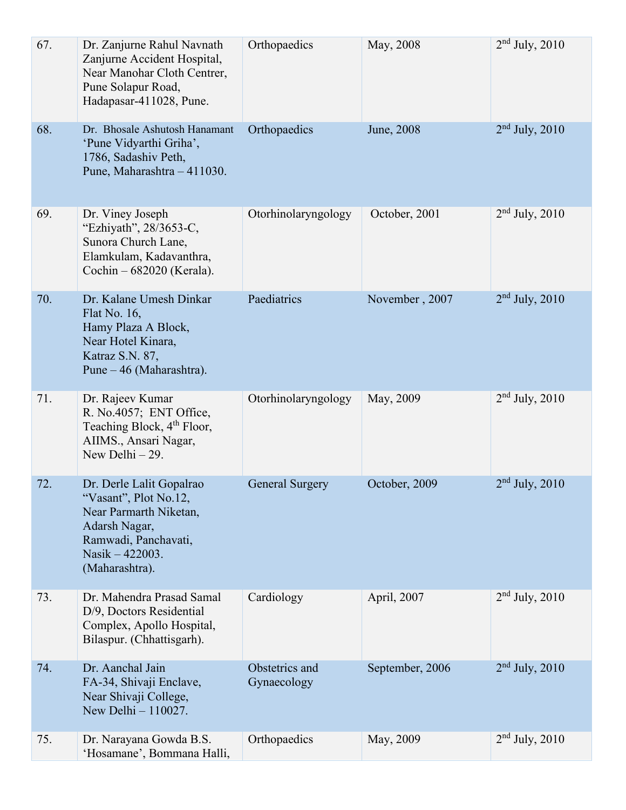| 67. | Dr. Zanjurne Rahul Navnath<br>Zanjurne Accident Hospital,<br>Near Manohar Cloth Centrer,<br>Pune Solapur Road,<br>Hadapasar-411028, Pune.                 | Orthopaedics                  | May, 2008       | $2nd$ July, 2010   |
|-----|-----------------------------------------------------------------------------------------------------------------------------------------------------------|-------------------------------|-----------------|--------------------|
| 68. | Dr. Bhosale Ashutosh Hanamant<br>'Pune Vidyarthi Griha',<br>1786, Sadashiv Peth,<br>Pune, Maharashtra - 411030.                                           | Orthopaedics                  | June, 2008      | $2nd$ July, $2010$ |
| 69. | Dr. Viney Joseph<br>"Ezhiyath", 28/3653-C,<br>Sunora Church Lane,<br>Elamkulam, Kadavanthra,<br>Cochin – 682020 (Kerala).                                 | Otorhinolaryngology           | October, 2001   | $2nd$ July, 2010   |
| 70. | Dr. Kalane Umesh Dinkar<br>Flat No. 16,<br>Hamy Plaza A Block,<br>Near Hotel Kinara,<br>Katraz S.N. 87,<br>Pune – 46 (Maharashtra).                       | Paediatrics                   | November, 2007  | $2nd$ July, 2010   |
| 71. | Dr. Rajeev Kumar<br>R. No.4057; ENT Office,<br>Teaching Block, 4 <sup>th</sup> Floor,<br>AIIMS., Ansari Nagar,<br>New Delhi $-29$ .                       | Otorhinolaryngology           | May, 2009       | $2nd$ July, $2010$ |
| 72. | Dr. Derle Lalit Gopalrao<br>"Vasant", Plot No.12,<br>Near Parmarth Niketan,<br>Adarsh Nagar,<br>Ramwadi, Panchavati,<br>Nasik - 422003.<br>(Maharashtra). | <b>General Surgery</b>        | October, 2009   | $2nd$ July, 2010   |
| 73. | Dr. Mahendra Prasad Samal<br>D/9, Doctors Residential<br>Complex, Apollo Hospital,<br>Bilaspur. (Chhattisgarh).                                           | Cardiology                    | April, 2007     | $2nd$ July, 2010   |
| 74. | Dr. Aanchal Jain<br>FA-34, Shivaji Enclave,<br>Near Shivaji College,<br>New Delhi - 110027.                                                               | Obstetrics and<br>Gynaecology | September, 2006 | $2nd$ July, 2010   |
| 75. | Dr. Narayana Gowda B.S.<br>'Hosamane', Bommana Halli,                                                                                                     | Orthopaedics                  | May, 2009       | $2nd$ July, 2010   |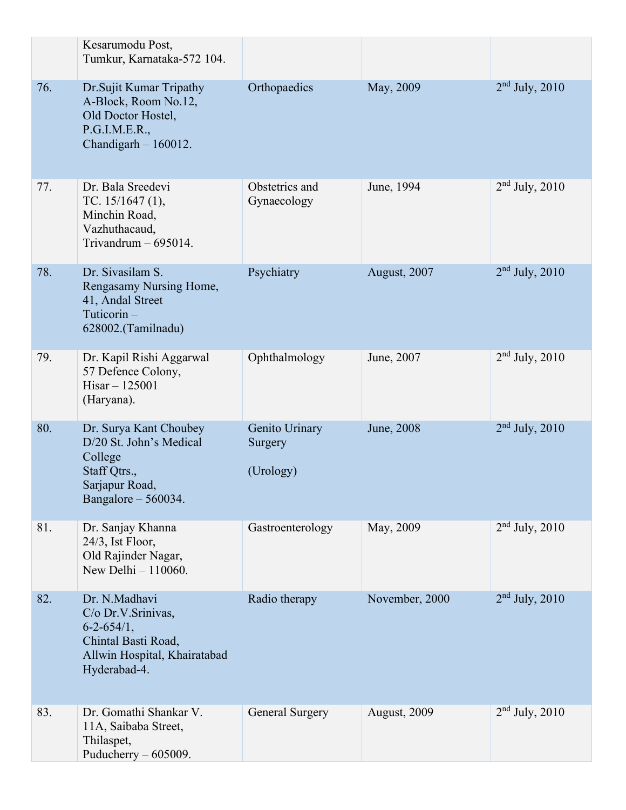|     | Kesarumodu Post,<br>Tumkur, Karnataka-572 104.                                                                                  |                                        |                |                  |
|-----|---------------------------------------------------------------------------------------------------------------------------------|----------------------------------------|----------------|------------------|
| 76. | Dr.Sujit Kumar Tripathy<br>A-Block, Room No.12,<br>Old Doctor Hostel,<br>P.G.I.M.E.R.,<br>Chandigarh $-160012$ .                | Orthopaedics                           | May, 2009      | $2nd$ July, 2010 |
| 77. | Dr. Bala Sreedevi<br>TC. $15/1647$ (1),<br>Minchin Road,<br>Vazhuthacaud,<br>Trivandrum $-695014$ .                             | Obstetrics and<br>Gynaecology          | June, 1994     | $2nd$ July, 2010 |
| 78. | Dr. Sivasilam S.<br>Rengasamy Nursing Home,<br>41, Andal Street<br>Tuticorin-<br>628002.(Tamilnadu)                             | Psychiatry                             | August, 2007   | $2nd$ July, 2010 |
| 79. | Dr. Kapil Rishi Aggarwal<br>57 Defence Colony,<br>$Hisar - 125001$<br>(Haryana).                                                | Ophthalmology                          | June, 2007     | $2nd$ July, 2010 |
| 80. | Dr. Surya Kant Choubey<br>D/20 St. John's Medical<br>College<br>Staff Qtrs.,<br>Sarjapur Road,<br>Bangalore - 560034.           | Genito Urinary<br>Surgery<br>(Urology) | June, 2008     | $2nd$ July, 2010 |
| 81. | Dr. Sanjay Khanna<br>24/3, Ist Floor,<br>Old Rajinder Nagar,<br>New Delhi - 110060.                                             | Gastroenterology                       | May, 2009      | $2nd$ July, 2010 |
| 82. | Dr. N.Madhavi<br>C/o Dr.V.Srinivas,<br>$6 - 2 - 654/1$ ,<br>Chintal Basti Road,<br>Allwin Hospital, Khairatabad<br>Hyderabad-4. | Radio therapy                          | November, 2000 | $2nd$ July, 2010 |
| 83. | Dr. Gomathi Shankar V.<br>11A, Saibaba Street,<br>Thilaspet,<br>Puducherry $-605009$ .                                          | <b>General Surgery</b>                 | August, 2009   | $2nd$ July, 2010 |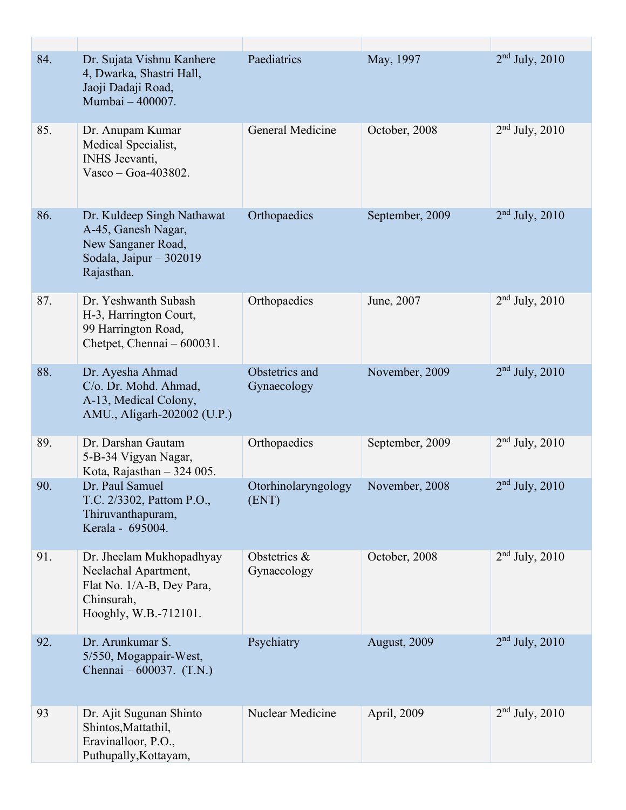| 84. | Dr. Sujata Vishnu Kanhere<br>4, Dwarka, Shastri Hall,<br>Jaoji Dadaji Road,<br>Mumbai - 400007.                      | Paediatrics                   | May, 1997       | $2nd$ July, 2010 |
|-----|----------------------------------------------------------------------------------------------------------------------|-------------------------------|-----------------|------------------|
| 85. | Dr. Anupam Kumar<br>Medical Specialist,<br>INHS Jeevanti,<br>Vasco - Goa-403802.                                     | General Medicine              | October, 2008   | $2nd$ July, 2010 |
| 86. | Dr. Kuldeep Singh Nathawat<br>A-45, Ganesh Nagar,<br>New Sanganer Road,<br>Sodala, Jaipur - 302019<br>Rajasthan.     | Orthopaedics                  | September, 2009 | $2nd$ July, 2010 |
| 87. | Dr. Yeshwanth Subash<br>H-3, Harrington Court,<br>99 Harrington Road,<br>Chetpet, Chennai – 600031.                  | Orthopaedics                  | June, 2007      | $2nd$ July, 2010 |
| 88. | Dr. Ayesha Ahmad<br>C/o. Dr. Mohd. Ahmad,<br>A-13, Medical Colony,<br>AMU., Aligarh-202002 (U.P.)                    | Obstetrics and<br>Gynaecology | November, 2009  | $2nd$ July, 2010 |
| 89. | Dr. Darshan Gautam<br>5-B-34 Vigyan Nagar,<br>Kota, Rajasthan $-324005$ .                                            | Orthopaedics                  | September, 2009 | $2nd$ July, 2010 |
| 90. | Dr. Paul Samuel<br>T.C. 2/3302, Pattom P.O.,<br>Thiruvanthapuram,<br>Kerala - 695004.                                | Otorhinolaryngology<br>(ENT)  | November, 2008  | $2nd$ July, 2010 |
| 91. | Dr. Jheelam Mukhopadhyay<br>Neelachal Apartment,<br>Flat No. 1/A-B, Dey Para,<br>Chinsurah,<br>Hooghly, W.B.-712101. | Obstetrics &<br>Gynaecology   | October, 2008   | $2nd$ July, 2010 |
| 92. | Dr. Arunkumar S.<br>5/550, Mogappair-West,<br>Chennai $-600037$ . (T.N.)                                             | Psychiatry                    | August, 2009    | $2nd$ July, 2010 |
| 93  | Dr. Ajit Sugunan Shinto<br>Shintos, Mattathil,<br>Eravinalloor, P.O.,<br>Puthupally, Kottayam,                       | Nuclear Medicine              | April, 2009     | $2nd$ July, 2010 |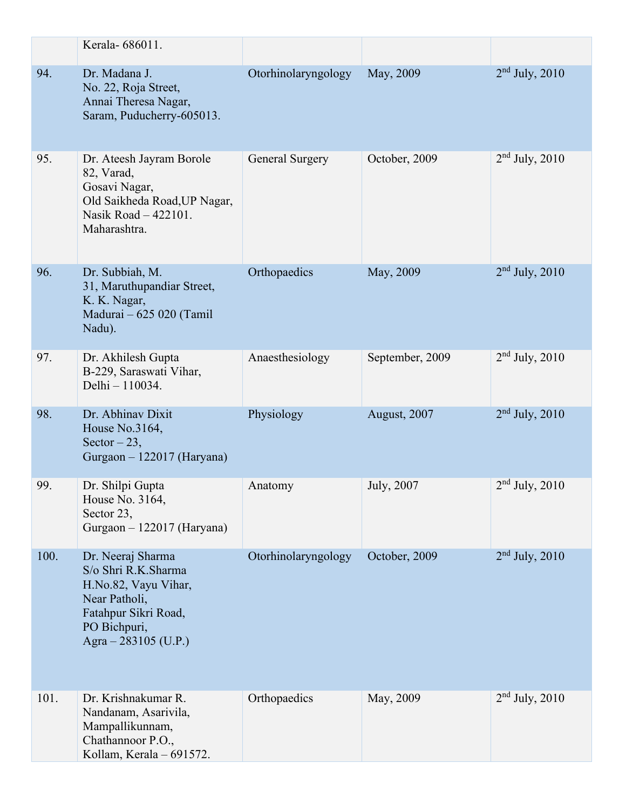|      | Kerala- 686011.                                                                                                                                   |                        |                 |                  |
|------|---------------------------------------------------------------------------------------------------------------------------------------------------|------------------------|-----------------|------------------|
| 94.  | Dr. Madana J.<br>No. 22, Roja Street,<br>Annai Theresa Nagar,<br>Saram, Puducherry-605013.                                                        | Otorhinolaryngology    | May, 2009       | $2nd$ July, 2010 |
| 95.  | Dr. Ateesh Jayram Borole<br>82, Varad,<br>Gosavi Nagar,<br>Old Saikheda Road, UP Nagar,<br>Nasik Road - 422101.<br>Maharashtra.                   | <b>General Surgery</b> | October, 2009   | $2nd$ July, 2010 |
| 96.  | Dr. Subbiah, M.<br>31, Maruthupandiar Street,<br>K. K. Nagar,<br>Madurai - 625 020 (Tamil<br>Nadu).                                               | Orthopaedics           | May, 2009       | $2nd$ July, 2010 |
| 97.  | Dr. Akhilesh Gupta<br>B-229, Saraswati Vihar,<br>Delhi - 110034.                                                                                  | Anaesthesiology        | September, 2009 | $2nd$ July, 2010 |
| 98.  | Dr. Abhinav Dixit<br>House No.3164,<br>Sector $-23$ ,<br>Gurgaon - 122017 (Haryana)                                                               | Physiology             | August, 2007    | $2nd$ July, 2010 |
| 99.  | Dr. Shilpi Gupta<br>House No. 3164,<br>Sector 23,<br>Gurgaon - 122017 (Haryana)                                                                   | Anatomy                | July, 2007      | $2nd$ July, 2010 |
| 100. | Dr. Neeraj Sharma<br>S/o Shri R.K.Sharma<br>H.No.82, Vayu Vihar,<br>Near Patholi,<br>Fatahpur Sikri Road,<br>PO Bichpuri,<br>Agra - 283105 (U.P.) | Otorhinolaryngology    | October, 2009   | $2nd$ July, 2010 |
| 101. | Dr. Krishnakumar R.<br>Nandanam, Asarivila,<br>Mampallikunnam,<br>Chathannoor P.O.,<br>Kollam, Kerala - 691572.                                   | Orthopaedics           | May, 2009       | $2nd$ July, 2010 |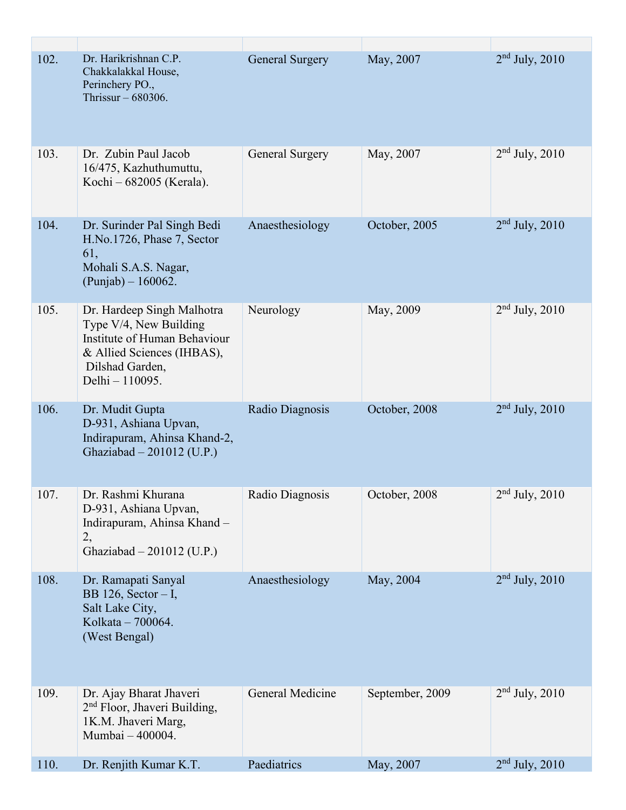| 102. | Dr. Harikrishnan C.P.<br>Chakkalakkal House,<br>Perinchery PO.,<br>Thrissur $-680306$ .                                                                  | <b>General Surgery</b> | May, 2007       | $2nd$ July, 2010   |
|------|----------------------------------------------------------------------------------------------------------------------------------------------------------|------------------------|-----------------|--------------------|
| 103. | Dr. Zubin Paul Jacob<br>16/475, Kazhuthumuttu,<br>Kochi – 682005 (Kerala).                                                                               | <b>General Surgery</b> | May, 2007       | $2nd$ July, 2010   |
| 104. | Dr. Surinder Pal Singh Bedi<br>H.No.1726, Phase 7, Sector<br>61,<br>Mohali S.A.S. Nagar,<br>$(Punjab) - 160062.$                                         | Anaesthesiology        | October, 2005   | $2nd$ July, 2010   |
| 105. | Dr. Hardeep Singh Malhotra<br>Type V/4, New Building<br>Institute of Human Behaviour<br>& Allied Sciences (IHBAS),<br>Dilshad Garden,<br>Delhi - 110095. | Neurology              | May, 2009       | $2nd$ July, 2010   |
| 106. | Dr. Mudit Gupta<br>D-931, Ashiana Upvan,<br>Indirapuram, Ahinsa Khand-2,<br>Ghaziabad - 201012 (U.P.)                                                    | Radio Diagnosis        | October, 2008   | $2nd$ July, 2010   |
| 107. | Dr. Rashmi Khurana<br>D-931, Ashiana Upvan,<br>Indirapuram, Ahinsa Khand -<br>2,<br>Ghaziabad $-201012$ (U.P.)                                           | Radio Diagnosis        | October, 2008   | $2nd$ July, $2010$ |
| 108. | Dr. Ramapati Sanyal<br>BB 126, Sector $- I$ ,<br>Salt Lake City,<br>Kolkata - 700064.<br>(West Bengal)                                                   | Anaesthesiology        | May, 2004       | $2nd$ July, 2010   |
| 109. | Dr. Ajay Bharat Jhaveri<br>2 <sup>nd</sup> Floor, Jhaveri Building,<br>1K.M. Jhaveri Marg,<br>Mumbai - 400004.                                           | General Medicine       | September, 2009 | $2nd$ July, 2010   |
| 110. | Dr. Renjith Kumar K.T.                                                                                                                                   | Paediatrics            | May, 2007       | $2nd$ July, 2010   |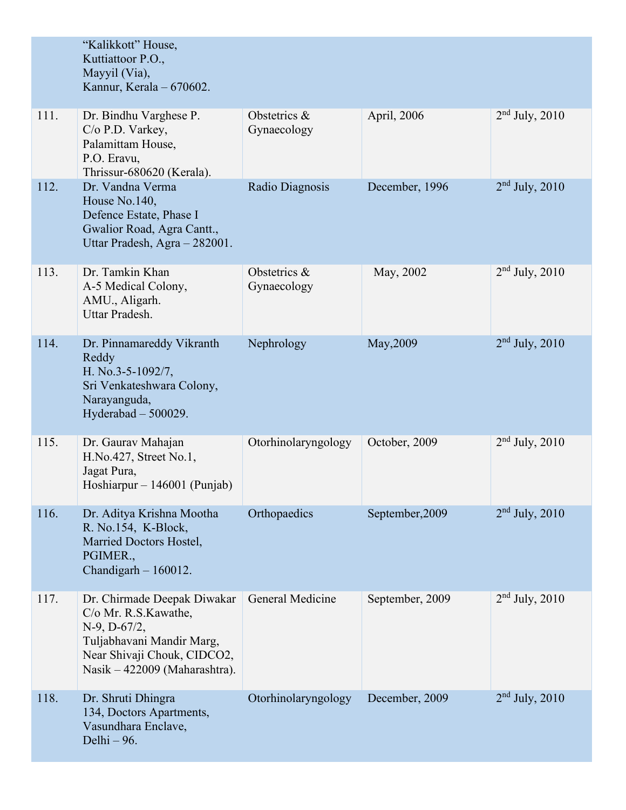|      | "Kalikkott" House,<br>Kuttiattoor P.O.,<br>Mayyil (Via),<br>Kannur, Kerala - 670602.                                                                                   |                             |                 |                    |
|------|------------------------------------------------------------------------------------------------------------------------------------------------------------------------|-----------------------------|-----------------|--------------------|
| 111. | Dr. Bindhu Varghese P.<br>C/o P.D. Varkey,<br>Palamittam House,<br>P.O. Eravu,<br>Thrissur-680620 (Kerala).                                                            | Obstetrics &<br>Gynaecology | April, 2006     | $2nd$ July, 2010   |
| 112. | Dr. Vandna Verma<br>House No.140,<br>Defence Estate, Phase I<br>Gwalior Road, Agra Cantt.,<br>Uttar Pradesh, Agra - 282001.                                            | Radio Diagnosis             | December, 1996  | $2nd$ July, 2010   |
| 113. | Dr. Tamkin Khan<br>A-5 Medical Colony,<br>AMU., Aligarh.<br>Uttar Pradesh.                                                                                             | Obstetrics &<br>Gynaecology | May, 2002       | $2nd$ July, 2010   |
| 114. | Dr. Pinnamareddy Vikranth<br>Reddy<br>H. No.3-5-1092/7,<br>Sri Venkateshwara Colony,<br>Narayanguda,<br>Hyderabad $-500029$ .                                          | Nephrology                  | May, 2009       | $2nd$ July, 2010   |
| 115. | Dr. Gaurav Mahajan<br>$H.No.427$ , Street No.1,<br>Jagat Pura,<br>Hoshiarpur – 146001 (Punjab)                                                                         | Otorhinolaryngology         | October, 2009   | $2nd$ July, 2010   |
| 116. | Dr. Aditya Krishna Mootha<br>R. No.154, K-Block,<br>Married Doctors Hostel,<br>PGIMER.,<br>Chandigarh $-160012$ .                                                      | Orthopaedics                | September, 2009 | $2nd$ July, 2010   |
| 117. | Dr. Chirmade Deepak Diwakar<br>C/o Mr. R.S.Kawathe,<br>$N-9$ , $D-67/2$ ,<br>Tuljabhavani Mandir Marg,<br>Near Shivaji Chouk, CIDCO2,<br>Nasik – 422009 (Maharashtra). | General Medicine            | September, 2009 | $2nd$ July, 2010   |
| 118. | Dr. Shruti Dhingra<br>134, Doctors Apartments,<br>Vasundhara Enclave,<br>Delhi - 96.                                                                                   | Otorhinolaryngology         | December, 2009  | $2nd$ July, $2010$ |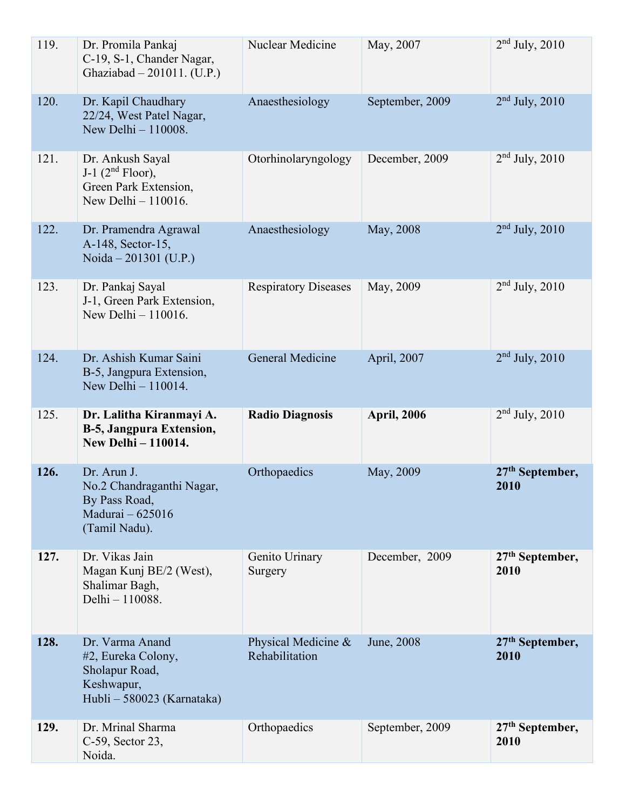| 119. | Dr. Promila Pankaj<br>C-19, S-1, Chander Nagar,<br>Ghaziabad - 201011. (U.P.)                       | Nuclear Medicine                      | May, 2007          | $2nd$ July, 2010          |
|------|-----------------------------------------------------------------------------------------------------|---------------------------------------|--------------------|---------------------------|
| 120. | Dr. Kapil Chaudhary<br>22/24, West Patel Nagar,<br>New Delhi - 110008.                              | Anaesthesiology                       | September, 2009    | $2nd$ July, 2010          |
| 121. | Dr. Ankush Sayal<br>J-1 $(2nd Floor)$ ,<br>Green Park Extension,<br>New Delhi - 110016.             | Otorhinolaryngology                   | December, 2009     | $2nd$ July, 2010          |
| 122. | Dr. Pramendra Agrawal<br>A-148, Sector-15,<br>Noida – 201301 (U.P.)                                 | Anaesthesiology                       | May, 2008          | $2nd$ July, 2010          |
| 123. | Dr. Pankaj Sayal<br>J-1, Green Park Extension,<br>New Delhi $-110016$ .                             | <b>Respiratory Diseases</b>           | May, 2009          | $2nd$ July, 2010          |
| 124. | Dr. Ashish Kumar Saini<br>B-5, Jangpura Extension,<br>New Delhi $-110014$ .                         | General Medicine                      | April, 2007        | $2nd$ July, 2010          |
|      |                                                                                                     |                                       |                    |                           |
| 125. | Dr. Lalitha Kiranmayi A.<br><b>B-5, Jangpura Extension,</b><br><b>New Delhi - 110014.</b>           | <b>Radio Diagnosis</b>                | <b>April, 2006</b> | $2nd$ July, 2010          |
| 126. | Dr. Arun J.<br>No.2 Chandraganthi Nagar,<br>By Pass Road,<br>Madurai - 625016<br>(Tamil Nadu).      | Orthopaedics                          | May, 2009          | $27th$ September,<br>2010 |
| 127. | Dr. Vikas Jain<br>Magan Kunj BE/2 (West),<br>Shalimar Bagh,<br>Delhi - 110088.                      | Genito Urinary<br>Surgery             | December, 2009     | $27th$ September,<br>2010 |
| 128. | Dr. Varma Anand<br>#2, Eureka Colony,<br>Sholapur Road,<br>Keshwapur,<br>Hubli - 580023 (Karnataka) | Physical Medicine &<br>Rehabilitation | June, 2008         | $27th$ September,<br>2010 |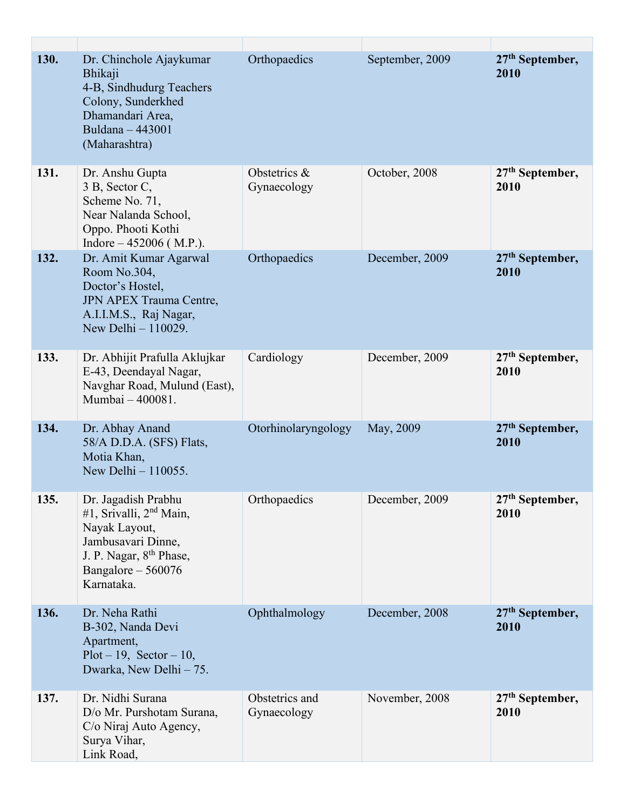| 130. | Dr. Chinchole Ajaykumar<br>Bhikaji<br>4-B, Sindhudurg Teachers<br>Colony, Sunderkhed<br>Dhamandari Area,<br>Buldana - 443001<br>(Maharashtra)                        | Orthopaedics                  | September, 2009 | 27 <sup>th</sup> September,<br>2010 |
|------|----------------------------------------------------------------------------------------------------------------------------------------------------------------------|-------------------------------|-----------------|-------------------------------------|
| 131. | Dr. Anshu Gupta<br>3 B, Sector C,<br>Scheme No. 71,<br>Near Nalanda School,<br>Oppo. Phooti Kothi<br>Indore $-452006$ (M.P.).                                        | Obstetrics &<br>Gynaecology   | October, 2008   | $27th$ September,<br>2010           |
| 132. | Dr. Amit Kumar Agarwal<br>Room No.304,<br>Doctor's Hostel,<br><b>JPN APEX Trauma Centre,</b><br>A.I.I.M.S., Raj Nagar,<br>New Delhi - 110029.                        | Orthopaedics                  | December, 2009  | 27 <sup>th</sup> September,<br>2010 |
| 133. | Dr. Abhijit Prafulla Aklujkar<br>E-43, Deendayal Nagar,<br>Navghar Road, Mulund (East),<br>Mumbai - 400081.                                                          | Cardiology                    | December, 2009  | 27 <sup>th</sup> September,<br>2010 |
| 134. | Dr. Abhay Anand<br>58/A D.D.A. (SFS) Flats,<br>Motia Khan,<br>New Delhi - 110055.                                                                                    | Otorhinolaryngology           | May, 2009       | $27th$ September,<br>2010           |
| 135. | Dr. Jagadish Prabhu<br>#1, Srivalli, $2nd Main$ ,<br>Nayak Layout,<br>Jambusavari Dinne,<br>J. P. Nagar, 8 <sup>th</sup> Phase,<br>Bangalore $-560076$<br>Karnataka. | Orthopaedics                  | December, 2009  | 27 <sup>th</sup> September,<br>2010 |
| 136. | Dr. Neha Rathi<br>B-302, Nanda Devi<br>Apartment,<br>$Plot - 19$ , $Section - 10$ ,<br>Dwarka, New Delhi - 75.                                                       | Ophthalmology                 | December, 2008  | $27th$ September,<br>2010           |
| 137. | Dr. Nidhi Surana<br>D/o Mr. Purshotam Surana,<br>C/o Niraj Auto Agency,<br>Surya Vihar,<br>Link Road,                                                                | Obstetrics and<br>Gynaecology | November, 2008  | $27th$ September,<br>2010           |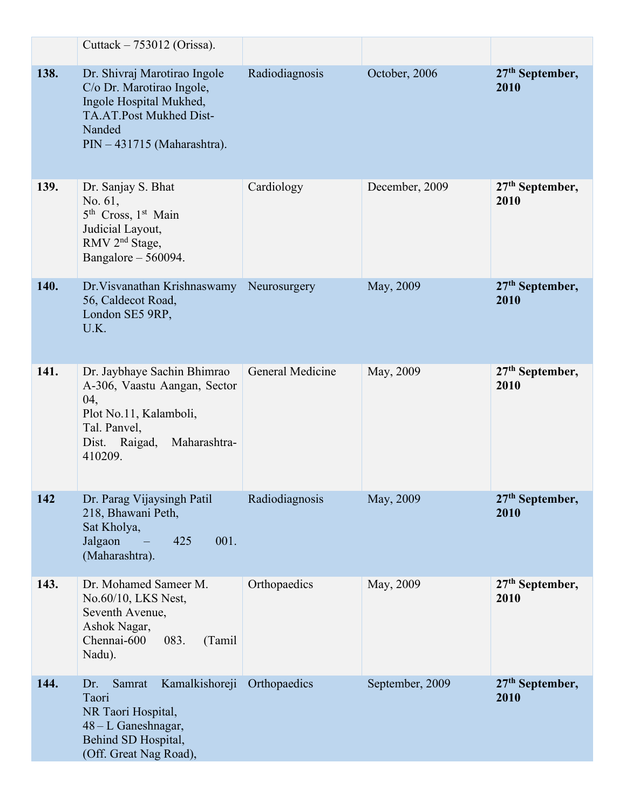|      | Cuttack $-753012$ (Orissa).                                                                                                                              |                  |                 |                           |
|------|----------------------------------------------------------------------------------------------------------------------------------------------------------|------------------|-----------------|---------------------------|
| 138. | Dr. Shivraj Marotirao Ingole<br>C/o Dr. Marotirao Ingole,<br>Ingole Hospital Mukhed,<br>TA.AT.Post Mukhed Dist-<br>Nanded<br>PIN - 431715 (Maharashtra). | Radiodiagnosis   | October, 2006   | $27th$ September,<br>2010 |
| 139. | Dr. Sanjay S. Bhat<br>No. 61,<br>5 <sup>th</sup> Cross, 1 <sup>st</sup> Main<br>Judicial Layout,<br>RMV 2 <sup>nd</sup> Stage,<br>Bangalore - 560094.    | Cardiology       | December, 2009  | $27th$ September,<br>2010 |
| 140. | Dr. Visvanathan Krishnaswamy<br>56, Caldecot Road,<br>London SE5 9RP,<br>U.K.                                                                            | Neurosurgery     | May, 2009       | $27th$ September,<br>2010 |
| 141. | Dr. Jaybhaye Sachin Bhimrao<br>A-306, Vaastu Aangan, Sector<br>04,<br>Plot No.11, Kalamboli,<br>Tal. Panvel,<br>Dist. Raigad,<br>Maharashtra-<br>410209. | General Medicine | May, 2009       | $27th$ September,<br>2010 |
| 142  | Dr. Parag Vijaysingh Patil<br>218, Bhawani Peth,<br>Sat Kholya,<br>Jalgaon<br>001.<br>425<br>(Maharashtra).                                              | Radiodiagnosis   | May, 2009       | $27th$ September,<br>2010 |
| 143. | Dr. Mohamed Sameer M.<br>No.60/10, LKS Nest,<br>Seventh Avenue,<br>Ashok Nagar,<br>Chennai-600<br>083.<br>(Tamil<br>Nadu).                               | Orthopaedics     | May, 2009       | $27th$ September,<br>2010 |
| 144. | Kamalkishoreji<br>Samrat<br>Dr.<br>Taori<br>NR Taori Hospital,<br>48 – L Ganeshnagar,<br>Behind SD Hospital,<br>(Off. Great Nag Road),                   | Orthopaedics     | September, 2009 | $27th$ September,<br>2010 |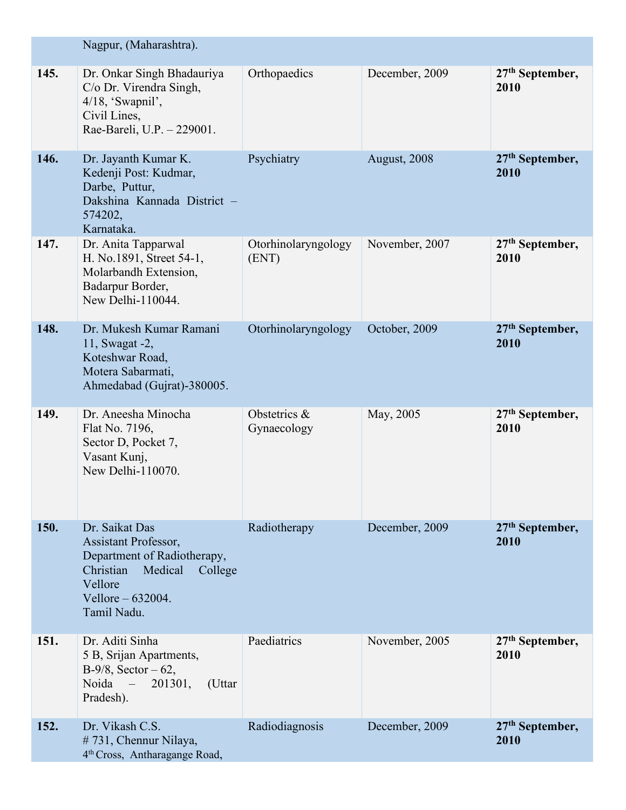|      | Nagpur, (Maharashtra).                                                                                                                                    |                              |                |                                     |
|------|-----------------------------------------------------------------------------------------------------------------------------------------------------------|------------------------------|----------------|-------------------------------------|
| 145. | Dr. Onkar Singh Bhadauriya<br>C/o Dr. Virendra Singh,<br>$4/18$ , 'Swapnil',<br>Civil Lines,<br>Rae-Bareli, U.P. - 229001.                                | Orthopaedics                 | December, 2009 | $27th$ September,<br>2010           |
| 146. | Dr. Jayanth Kumar K.<br>Kedenji Post: Kudmar,<br>Darbe, Puttur,<br>Dakshina Kannada District -<br>574202,<br>Karnataka.                                   | Psychiatry                   | August, 2008   | $27th$ September,<br>2010           |
| 147. | Dr. Anita Tapparwal<br>H. No.1891, Street 54-1,<br>Molarbandh Extension,<br>Badarpur Border,<br>New Delhi-110044.                                         | Otorhinolaryngology<br>(ENT) | November, 2007 | 27 <sup>th</sup> September,<br>2010 |
| 148. | Dr. Mukesh Kumar Ramani<br>11, Swagat -2,<br>Koteshwar Road,<br>Motera Sabarmati,<br>Ahmedabad (Gujrat)-380005.                                           | Otorhinolaryngology          | October, 2009  | $27th$ September,<br>2010           |
| 149. | Dr. Aneesha Minocha<br>Flat No. 7196,<br>Sector D, Pocket 7,<br>Vasant Kunj,<br>New Delhi-110070.                                                         | Obstetrics &<br>Gynaecology  | May, 2005      | $27th$ September,<br>2010           |
| 150. | Dr. Saikat Das<br>Assistant Professor,<br>Department of Radiotherapy,<br>Medical<br>Christian<br>College<br>Vellore<br>Vellore $-632004$ .<br>Tamil Nadu. | Radiotherapy                 | December, 2009 | 27 <sup>th</sup> September,<br>2010 |
| 151. | Dr. Aditi Sinha<br>5 B, Srijan Apartments,<br>$B-9/8$ , Sector – 62,<br>Noida<br>201301,<br>(Uttar<br>$\mathcal{L}=\mathcal{L}$<br>Pradesh).              | Paediatrics                  | November, 2005 | $27th$ September,<br>2010           |
| 152. | Dr. Vikash C.S.<br>#731, Chennur Nilaya,<br>4 <sup>th</sup> Cross, Antharagange Road,                                                                     | Radiodiagnosis               | December, 2009 | $27th$ September,<br>2010           |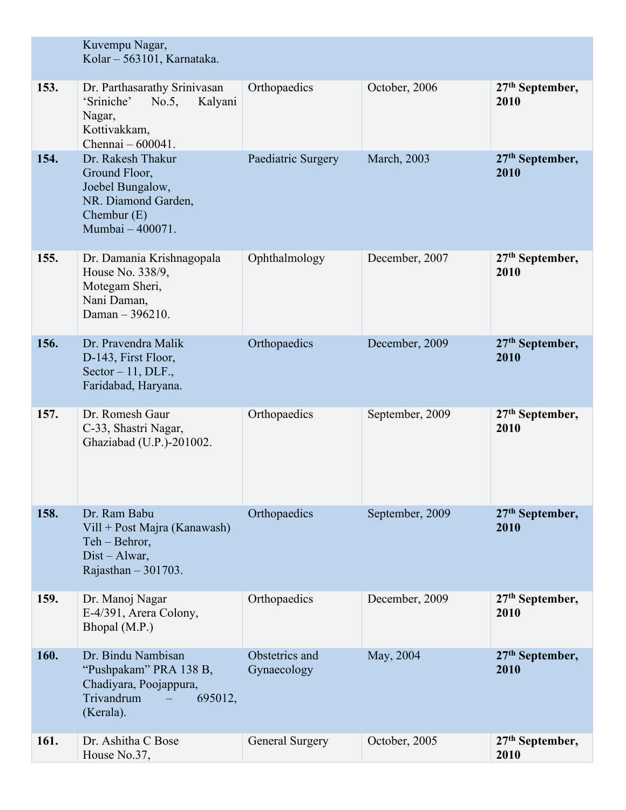|      | Kuvempu Nagar,<br>Kolar - 563101, Karnataka.                                                                       |                               |                     |                                     |
|------|--------------------------------------------------------------------------------------------------------------------|-------------------------------|---------------------|-------------------------------------|
| 153. | Dr. Parthasarathy Srinivasan<br>'Sriniche'<br>$No.5$ ,<br>Kalyani<br>Nagar,<br>Kottivakkam,<br>Chennai $-600041$ . | Orthopaedics                  | October, 2006       | $27th$ September,<br>2010           |
| 154. | Dr. Rakesh Thakur<br>Ground Floor,<br>Joebel Bungalow,<br>NR. Diamond Garden,<br>Chembur $(E)$<br>Mumbai - 400071. | Paediatric Surgery            | <b>March</b> , 2003 | $27th$ September,<br>2010           |
| 155. | Dr. Damania Krishnagopala<br>House No. 338/9,<br>Motegam Sheri,<br>Nani Daman,<br>Daman - 396210.                  | Ophthalmology                 | December, 2007      | 27 <sup>th</sup> September,<br>2010 |
| 156. | Dr. Pravendra Malik<br>D-143, First Floor,<br>Sector $-11$ , DLF.,<br>Faridabad, Haryana.                          | Orthopaedics                  | December, 2009      | 27 <sup>th</sup> September,<br>2010 |
| 157. | Dr. Romesh Gaur<br>C-33, Shastri Nagar,<br>Ghaziabad (U.P.)-201002.                                                | Orthopaedics                  | September, 2009     | $27th$ September,<br>2010           |
| 158. | Dr. Ram Babu<br>Vill + Post Majra (Kanawash)<br>Teh - Behror,<br>$Dist - Alwar$ ,<br>Rajasthan $-301703$ .         | Orthopaedics                  | September, 2009     | $27th$ September,<br>2010           |
| 159. | Dr. Manoj Nagar<br>E-4/391, Arera Colony,<br>Bhopal (M.P.)                                                         | Orthopaedics                  | December, 2009      | $27th$ September,<br>2010           |
| 160. | Dr. Bindu Nambisan<br>"Pushpakam" PRA 138 B,<br>Chadiyara, Poojappura,<br>Trivandrum<br>695012,<br>(Kerala).       | Obstetrics and<br>Gynaecology | May, 2004           | $27th$ September,<br>2010           |
| 161. | Dr. Ashitha C Bose<br>House No.37,                                                                                 | <b>General Surgery</b>        | October, 2005       | $27th$ September,<br>2010           |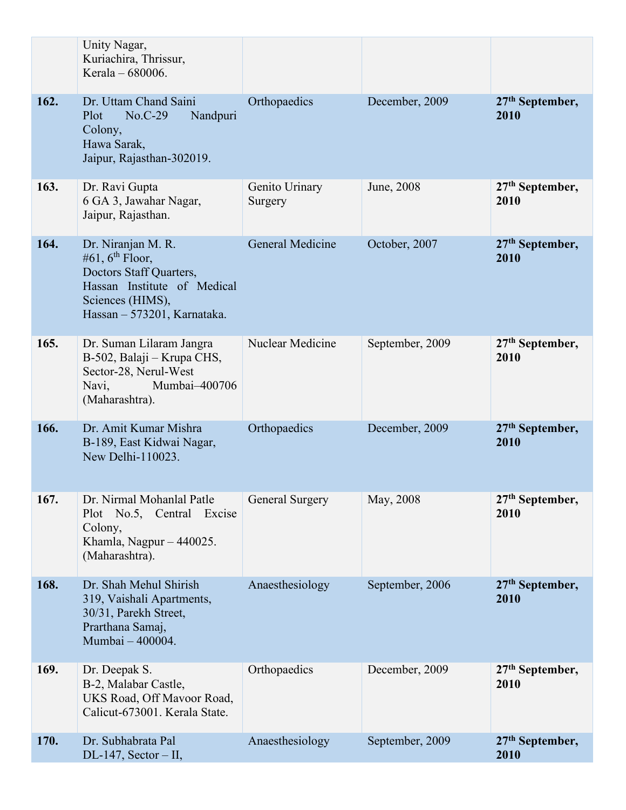|      | Unity Nagar,<br>Kuriachira, Thrissur,<br>Kerala – 680006.                                                                                                      |                           |                 |                                     |
|------|----------------------------------------------------------------------------------------------------------------------------------------------------------------|---------------------------|-----------------|-------------------------------------|
| 162. | Dr. Uttam Chand Saini<br>$No.C-29$<br>Nandpuri<br>Plot<br>Colony,<br>Hawa Sarak,<br>Jaipur, Rajasthan-302019.                                                  | Orthopaedics              | December, 2009  | $27th$ September,<br>2010           |
| 163. | Dr. Ravi Gupta<br>6 GA 3, Jawahar Nagar,<br>Jaipur, Rajasthan.                                                                                                 | Genito Urinary<br>Surgery | June, 2008      | $27th$ September,<br>2010           |
| 164. | Dr. Niranjan M. R.<br>#61, $6^{\text{th}}$ Floor,<br>Doctors Staff Quarters,<br>Hassan Institute of Medical<br>Sciences (HIMS),<br>Hassan - 573201, Karnataka. | <b>General Medicine</b>   | October, 2007   | 27 <sup>th</sup> September,<br>2010 |
| 165. | Dr. Suman Lilaram Jangra<br>B-502, Balaji – Krupa CHS,<br>Sector-28, Nerul-West<br>Mumbai-400706<br>Navi,<br>(Maharashtra).                                    | Nuclear Medicine          | September, 2009 | 27 <sup>th</sup> September,<br>2010 |
| 166. | Dr. Amit Kumar Mishra<br>B-189, East Kidwai Nagar,<br>New Delhi-110023.                                                                                        | Orthopaedics              | December, 2009  | $27th$ September,<br>2010           |
| 167. | Dr. Nirmal Mohanlal Patle<br>Plot No.5, Central<br>Excise<br>Colony,<br>Khamla, Nagpur - 440025.<br>(Maharashtra).                                             | General Surgery           | May, 2008       | 27 <sup>th</sup> September,<br>2010 |
| 168. | Dr. Shah Mehul Shirish<br>319, Vaishali Apartments,<br>30/31, Parekh Street,<br>Prarthana Samaj,<br>Mumbai - 400004.                                           | Anaesthesiology           | September, 2006 | $27th$ September,<br>2010           |
| 169. | Dr. Deepak S.<br>B-2, Malabar Castle,<br>UKS Road, Off Mavoor Road,<br>Calicut-673001. Kerala State.                                                           | Orthopaedics              | December, 2009  | $27th$ September,<br>2010           |
| 170. | Dr. Subhabrata Pal<br>$DL-147$ , Sector – II,                                                                                                                  | Anaesthesiology           | September, 2009 | $27th$ September,<br>2010           |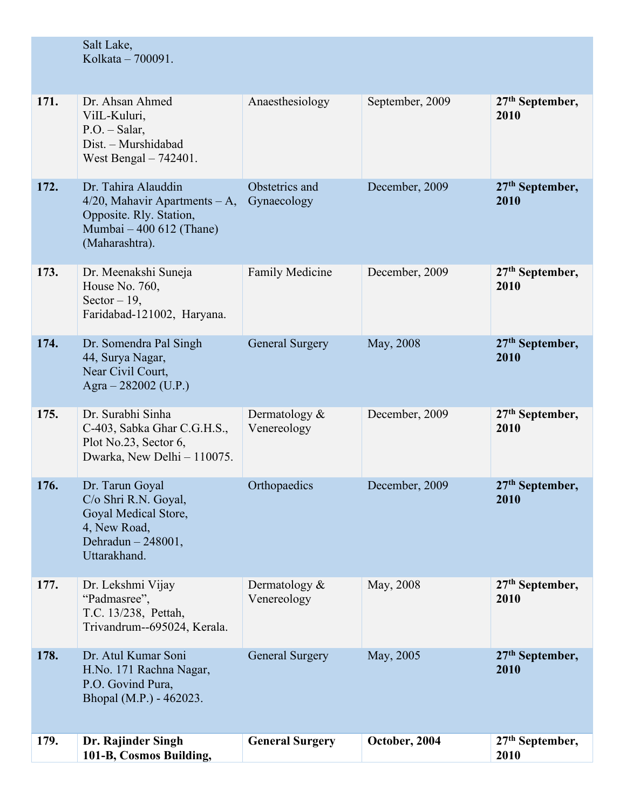|      | Salt Lake,<br>Kolkata - 700091.                                                                                                  |                                 |                 |                                     |
|------|----------------------------------------------------------------------------------------------------------------------------------|---------------------------------|-----------------|-------------------------------------|
|      |                                                                                                                                  |                                 |                 |                                     |
| 171. | Dr. Ahsan Ahmed<br>ViIL-Kuluri,<br>$P.O. - Salar,$<br>Dist. - Murshidabad<br>West Bengal $-742401$ .                             | Anaesthesiology                 | September, 2009 | $27th$ September,<br>2010           |
| 172. | Dr. Tahira Alauddin<br>$4/20$ , Mahavir Apartments – A,<br>Opposite. Rly. Station,<br>Mumbai - 400 612 (Thane)<br>(Maharashtra). | Obstetrics and<br>Gynaecology   | December, 2009  | $27th$ September,<br>2010           |
| 173. | Dr. Meenakshi Suneja<br>House No. 760,<br>Sector $-19$ ,<br>Faridabad-121002, Haryana.                                           | <b>Family Medicine</b>          | December, 2009  | $27th$ September,<br>2010           |
| 174. | Dr. Somendra Pal Singh<br>44, Surya Nagar,<br>Near Civil Court,<br>Agra $-282002$ (U.P.)                                         | <b>General Surgery</b>          | May, 2008       | $27th$ September,<br>2010           |
| 175. | Dr. Surabhi Sinha<br>C-403, Sabka Ghar C.G.H.S.,<br>Plot No.23, Sector 6,<br>Dwarka, New Delhi - 110075.                         | Dermatology $&$<br>Venereology  | December, 2009  | $27th$ September,<br>2010           |
| 176. | Dr. Tarun Goyal<br>C/o Shri R.N. Goyal,<br>Goyal Medical Store,<br>4, New Road,<br>Dehradun - 248001,<br>Uttarakhand.            | Orthopaedics                    | December, 2009  | $27th$ September,<br>2010           |
| 177. | Dr. Lekshmi Vijay<br>"Padmasree",<br>T.C. 13/238, Pettah,<br>Trivandrum--695024, Kerala.                                         | Dermatology $\&$<br>Venereology | May, 2008       | $27th$ September,<br>2010           |
| 178. | Dr. Atul Kumar Soni<br>H.No. 171 Rachna Nagar,<br>P.O. Govind Pura,<br>Bhopal (M.P.) - 462023.                                   | <b>General Surgery</b>          | May, 2005       | $27th$ September,<br>2010           |
| 179. | Dr. Rajinder Singh<br>101-B, Cosmos Building,                                                                                    | <b>General Surgery</b>          | October, 2004   | 27 <sup>th</sup> September,<br>2010 |